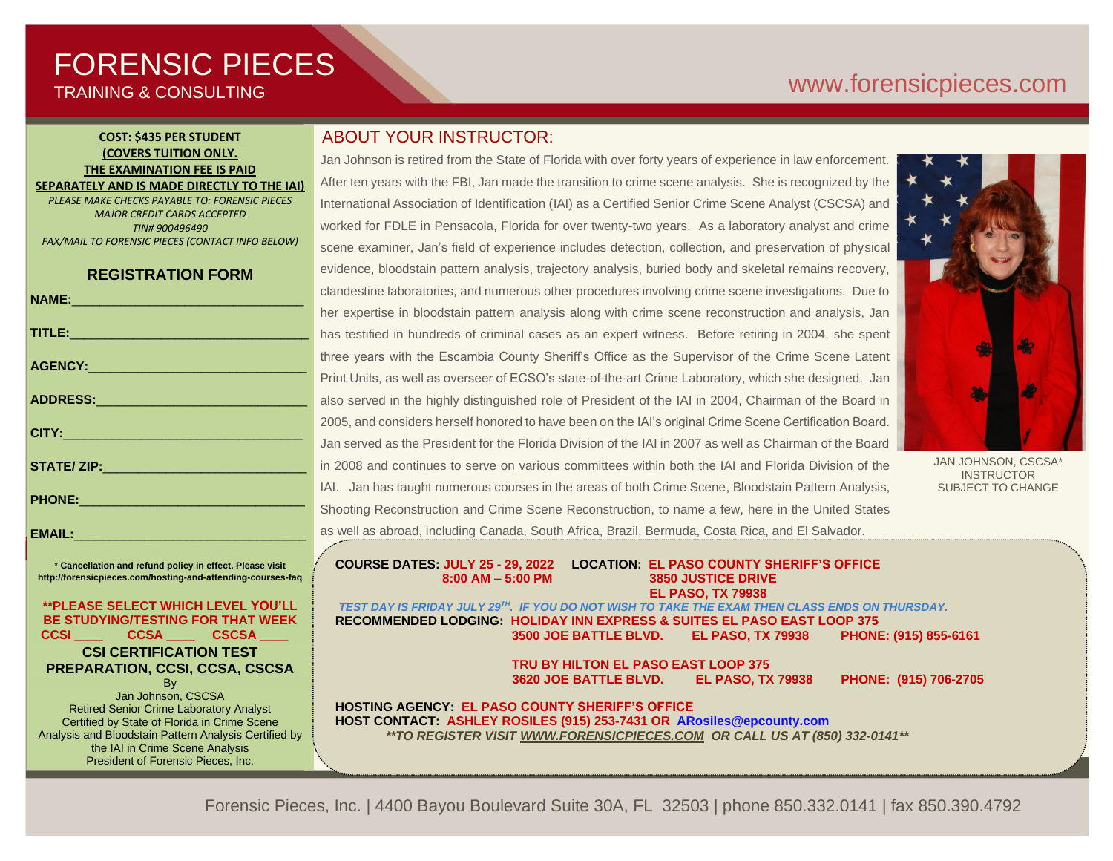# FORENSIC PIECES TRAINING & CONSULTING

# [www.forensicp](http://www.forensic/)ieces.com

## **COST: \$435 PER STUDENT (COVERS TUITION ONLY. THE EXAMINATION FEE IS PAID SEPARATELY AND IS MADE DIRECTLY TO THE IAI)**

*PLEASE MAKE CHECKS PAYABLE TO: FORENSIC PIECES MAJOR CREDIT CARDS ACCEPTED TIN# 900496490 FAX/MAIL TO FORENSIC PIECES (CONTACT INFO BELOW)*

## **REGISTRATION FORM**

| NAME: 2008 2009 2009 2010 2021 2022 2023 2024 2022 2023 2024 2022 2023 2024 2022 2023 2024 2022 2023 2024 2023                                                                                                                 | $\overline{\phantom{a}}$ |
|--------------------------------------------------------------------------------------------------------------------------------------------------------------------------------------------------------------------------------|--------------------------|
|                                                                                                                                                                                                                                | ł                        |
| TITLE: Production of the contract of the contract of the contract of the contract of the contract of the contract of the contract of the contract of the contract of the contract of the contract of the contract of the contr | $\mathsf{r}$             |
|                                                                                                                                                                                                                                | t                        |
|                                                                                                                                                                                                                                | F                        |
|                                                                                                                                                                                                                                |                          |
|                                                                                                                                                                                                                                | ć                        |
|                                                                                                                                                                                                                                | $\epsilon$<br>z          |
|                                                                                                                                                                                                                                | Ċ                        |
|                                                                                                                                                                                                                                | i                        |
|                                                                                                                                                                                                                                |                          |
|                                                                                                                                                                                                                                | $\overline{\phantom{a}}$ |
|                                                                                                                                                                                                                                | Š                        |
|                                                                                                                                                                                                                                |                          |

\* **Cancellation and refund policy in effect. Please visit http://forensicpieces.com/hosting-and-attending-courses-faq**

EMAIL:

## **\*\*PLEASE SELECT WHICH LEVEL YOU'LL BE STUDYING/TESTING FOR THAT WEEK CCSI \_\_\_\_ CCSA \_\_\_\_ CSCSA \_\_\_\_**

## **CSI CERTIFICATION TEST PREPARATION, CCSI, CCSA, CSCSA**

**B**<sub>v</sub> Jan Johnson, CSCSA Retired Senior Crime Laboratory Analyst Certified by State of Florida in Crime Scene Analysis and Bloodstain Pattern Analysis Certified by the IAI in Crime Scene Analysis President of Forensic Pieces, Inc.

## ABOUT YOUR INSTRUCTOR:

Jan Johnson is retired from the State of Florida with over forty years of experience in law enforcement. After ten years with the FBI, Jan made the transition to crime scene analysis. She is recognized by the International Association of Identification (IAI) as a Certified Senior Crime Scene Analyst (CSCSA) and worked for FDLE in Pensacola, Florida for over twenty-two years. As a laboratory analyst and crime scene examiner, Jan's field of experience includes detection, collection, and preservation of physical evidence, bloodstain pattern analysis, trajectory analysis, buried body and skeletal remains recovery, clandestine laboratories, and numerous other procedures involving crime scene investigations. Due to her expertise in bloodstain pattern analysis along with crime scene reconstruction and analysis, Jan has testified in hundreds of criminal cases as an expert witness. Before retiring in 2004, she spent three years with the Escambia County Sheriff's Office as the Supervisor of the Crime Scene Latent Print Units, as well as overseer of ECSO's state-of-the-art Crime Laboratory, which she designed. Jan also served in the highly distinguished role of President of the IAI in 2004, Chairman of the Board in 2005, and considers herself honored to have been on the IAI's original Crime Scene Certification Board. Jan served as the President for the Florida Division of the IAI in 2007 as well as Chairman of the Board in 2008 and continues to serve on various committees within both the IAI and Florida Division of the IAI. Jan has taught numerous courses in the areas of both Crime Scene, Bloodstain Pattern Analysis, Shooting Reconstruction and Crime Scene Reconstruction, to name a few, here in the United States as well as abroad, including Canada, South Africa, Brazil, Bermuda, Costa Rica, and El Salvador.



JAN JOHNSON, CSCSA\* **INSTRUCTOR** SUBJECT TO CHANGE

**COURSE DATES: JULY 25 - 29, 2022 LOCATION: EL PASO COUNTY SHERIFF'S OFFICE 8:00 AM – 5:00 PM 3850 JUSTICE DRIVE EL PASO, TX 79938**  *TEST DAY IS FRIDAY JULY 29TH. IF YOU DO NOT WISH TO TAKE THE EXAM THEN CLASS ENDS ON THURSDAY.*

**RECOMMENDED LODGING: HOLIDAY INN EXPRESS & SUITES EL PASO EAST LOOP 375 3500 JOE BATTLE BLVD. EL PASO, TX 79938 PHONE: (915) 855-6161**

> **TRU BY HILTON EL PASO EAST LOOP 375 3620 JOE BATTLE BLVD. EL PASO, TX 79938 PHONE: (915) 706-2705**

**HOSTING AGENCY: EL PASO COUNTY SHERIFF'S OFFICE HOST CONTACT: ASHLEY ROSILES (915) 253-7431 OR ARosiles@epcounty.com** *\*\*TO REGISTER VISIT [WWW.FORENSICPIECES.COM](http://www.forensicpieces.com/) OR CALL US AT (850) 332-0141\*\**

Forensic Pieces, Inc. | 4400 Bayou Boulevard Suite 30A, FL 32503 | phone 850.332.0141 | fax 850.390.4792